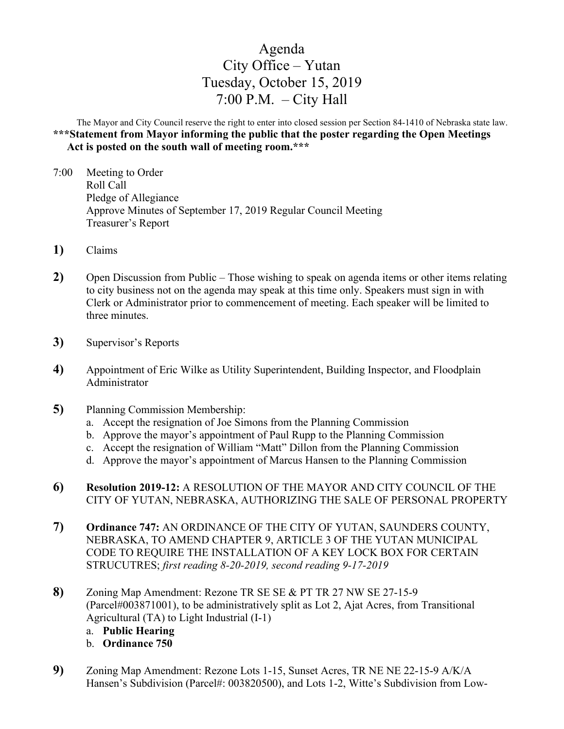## Agenda City Office – Yutan Tuesday, October 15, 2019 7:00 P.M.  $-$  City Hall

The Mayor and City Council reserve the right to enter into closed session per Section 84-1410 of Nebraska state law. **\*\*\*Statement from Mayor informing the public that the poster regarding the Open Meetings Act is posted on the south wall of meeting room.\*\*\***

- 7:00 Meeting to Order Roll Call Pledge of Allegiance Approve Minutes of September 17, 2019 Regular Council Meeting Treasurer's Report
- **1)** Claims
- **2)** Open Discussion from Public Those wishing to speak on agenda items or other items relating to city business not on the agenda may speak at this time only. Speakers must sign in with Clerk or Administrator prior to commencement of meeting. Each speaker will be limited to three minutes.
- **3)** Supervisor's Reports
- **4)** Appointment of Eric Wilke as Utility Superintendent, Building Inspector, and Floodplain Administrator
- **5)** Planning Commission Membership:
	- a. Accept the resignation of Joe Simons from the Planning Commission
	- b. Approve the mayor's appointment of Paul Rupp to the Planning Commission
	- c. Accept the resignation of William "Matt" Dillon from the Planning Commission
	- d. Approve the mayor's appointment of Marcus Hansen to the Planning Commission
- **6) Resolution 2019-12:** A RESOLUTION OF THE MAYOR AND CITY COUNCIL OF THE CITY OF YUTAN, NEBRASKA, AUTHORIZING THE SALE OF PERSONAL PROPERTY
- **7) Ordinance 747:** AN ORDINANCE OF THE CITY OF YUTAN, SAUNDERS COUNTY, NEBRASKA, TO AMEND CHAPTER 9, ARTICLE 3 OF THE YUTAN MUNICIPAL CODE TO REQUIRE THE INSTALLATION OF A KEY LOCK BOX FOR CERTAIN STRUCUTRES; *first reading 8-20-2019, second reading 9-17-2019*
- **8)** Zoning Map Amendment: Rezone TR SE SE & PT TR 27 NW SE 27-15-9 (Parcel#003871001), to be administratively split as Lot 2, Ajat Acres, from Transitional Agricultural (TA) to Light Industrial (I-1)
	- a. **Public Hearing**
	- b. **Ordinance 750**
- **9)** Zoning Map Amendment: Rezone Lots 1-15, Sunset Acres, TR NE NE 22-15-9 A/K/A Hansen's Subdivision (Parcel#: 003820500), and Lots 1-2, Witte's Subdivision from Low-